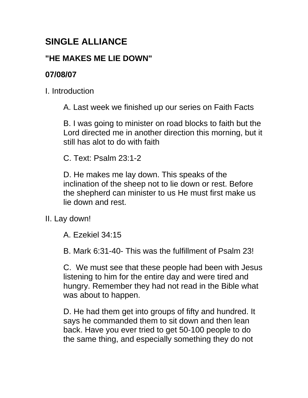## **SINGLE ALLIANCE**

## **"HE MAKES ME LIE DOWN"**

## **07/08/07**

I. Introduction

A. Last week we finished up our series on Faith Facts

B. I was going to minister on road blocks to faith but the Lord directed me in another direction this morning, but it still has alot to do with faith

C. Text: Psalm 23:1-2

D. He makes me lay down. This speaks of the inclination of the sheep not to lie down or rest. Before the shepherd can minister to us He must first make us lie down and rest.

II. Lay down!

A. Ezekiel 34:15

B. Mark 6:31-40- This was the fulfillment of Psalm 23!

C. We must see that these people had been with Jesus listening to him for the entire day and were tired and hungry. Remember they had not read in the Bible what was about to happen.

D. He had them get into groups of fifty and hundred. It says he commanded them to sit down and then lean back. Have you ever tried to get 50-100 people to do the same thing, and especially something they do not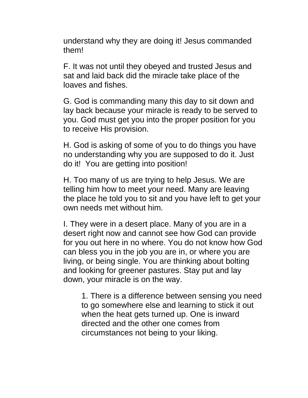understand why they are doing it! Jesus commanded them!

F. It was not until they obeyed and trusted Jesus and sat and laid back did the miracle take place of the loaves and fishes.

G. God is commanding many this day to sit down and lay back because your miracle is ready to be served to you. God must get you into the proper position for you to receive His provision.

H. God is asking of some of you to do things you have no understanding why you are supposed to do it. Just do it! You are getting into position!

H. Too many of us are trying to help Jesus. We are telling him how to meet your need. Many are leaving the place he told you to sit and you have left to get your own needs met without him.

I. They were in a desert place. Many of you are in a desert right now and cannot see how God can provide for you out here in no where. You do not know how God can bless you in the job you are in, or where you are living, or being single. You are thinking about bolting and looking for greener pastures. Stay put and lay down, your miracle is on the way.

1. There is a difference between sensing you need to go somewhere else and learning to stick it out when the heat gets turned up. One is inward directed and the other one comes from circumstances not being to your liking.